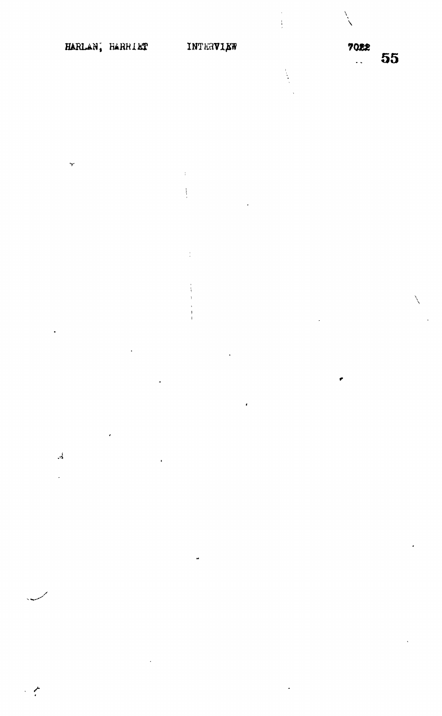$\mathbf{A}$ 

 $\overline{\cdot}$ 



 $\frac{1}{2}$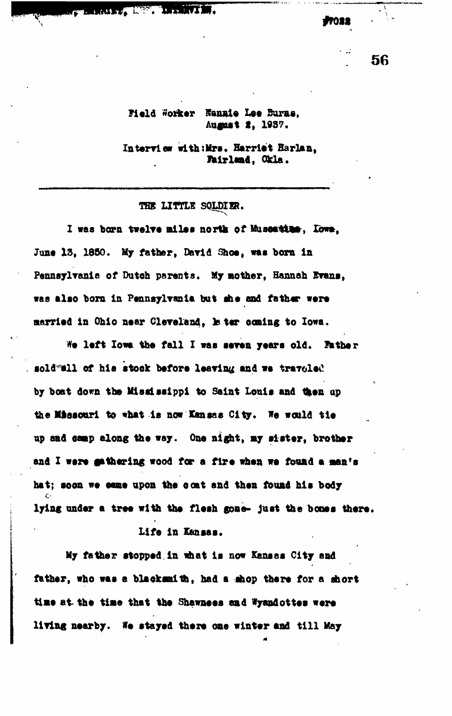**Address MAP** 

*ffOMM*

**: 56**

**Field Wosker San&U Lee Suras, August t, 1937.**

In terview with: Mrs. Harriet Barlan. Jairland, Okla.

## **THE LITTLE SOLDI IR.**

I was born twelve miles north of Museatius, Iowa. June 13, 1850. My father, David Shoe, was born in **Pennsylvania of Dutch parenta. My mother, Hannah Brant,** was also born in Pennsylvania but she and father were married in Ohio near Cleveland, le ter coming to Iowa.

We left Iowa the fall I was seven years old. Father sold all of his stock before leaving and we travoled by boat down the Mississippi to Saint Louis and then up the Missouri to what is now Kansas City. We would tie up and comp along the way. One night, my sister, brother **and I were gathering wood for a fire when we found e man's hat; toon we ease upon the coat and then found hit body** lying under a tree with the flesh gone- just the bones there.

Life in Kansas.

**My father stopped in what ia now Kanaaa City and** father, who was a blacksmith, had a shop there for a short **tiae at the tiae that the Shawneea and tyandottee were** living nearby. We stayed there one winter and till May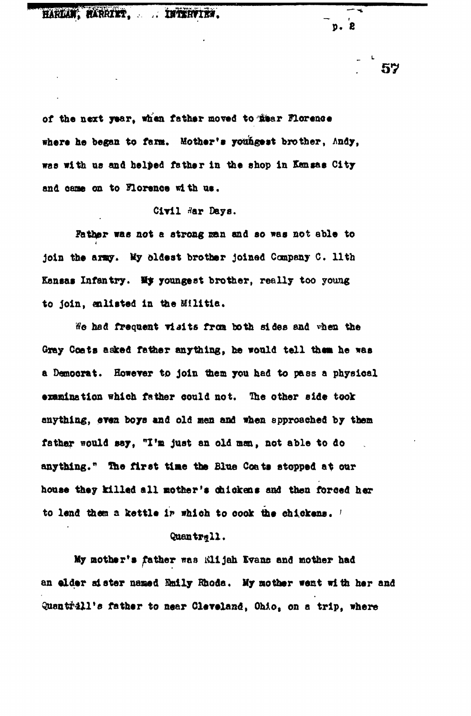HARRIA, MARRIET, MITTERVIEN.

**P« £**

of the next year, when father moved to *i*ear Florence **where he began to farm. Mother's yot&gest brother, Andy, was with as and helped father la the shop in Kansas City and oane on to Florence with us.**

Civil Mar Days.

**lather was not a strong can and so was not able to join the army. My oldest brother joined Company C. 11th Kansas Infantry.** *V\$* **youngest brother, really too young to join, enlisted in the M!lttie.**

**We had frequent viaits from both sides and v»hen the** Gray Coats asked father anything, he would tell them he was a Democrat. However to join them you had to pass a physical **examination which father could not. The other side took anything, even boys and old sen and when approached by them father would say, <sup>n</sup> I'» just an old man, not able to do anything." fhe first time the Blue Coats stopped at our** house they killed all mother's chickens and then forced her **to lend taeta a kettle ir which to oook t&e chickens. '**

## Quantr<sub>i</sub>ll.

**My mother's father was lili jah Svans and mother had an elder sister named Sally Rhode. My mother west with her and** Quantrall's father to near Cleveland, Ohio, on a trip, where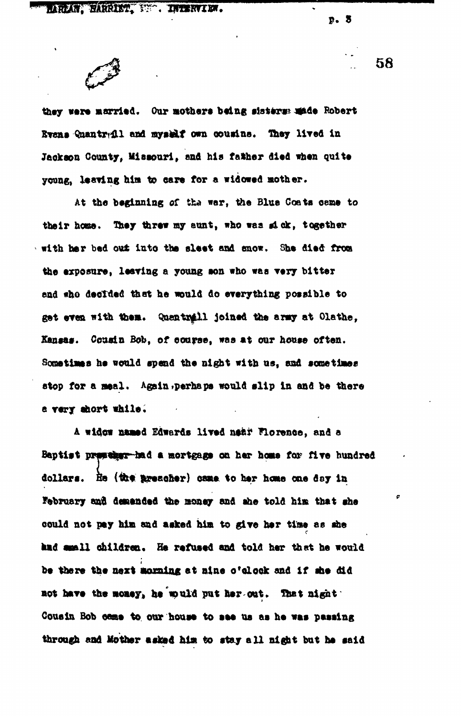WHAN, SARRIET, W. . INTERVIEW.

 $p.8$ 

they were married. Our mothers being sisters: made Robert Evans Onantrall and myself own cousins. They lived in Jackson County, Missouri, and his father died when quite young, leaving him to care for a widowed mother.

At the beginning of the war, the Blue Coats came to their home. They threw my sunt, who was sick, together with her bed out into the sleet and snow. She died from the exposure, leaving a young son who was very bitter and who decided that he would do everything possible to get even with them. Quentrall joined the army at Olathe. Kansas. Cousin Bob, of course, was at our house often. Sometimes he would spend the night with us, and sometimes stop for a meal. Again perhaps would slip in and be there a very short while.

A widow named Edwards lived naar Florence, and a Baptist prestage had a mortgage on her home for five hundred dollars. He (the preacher) came to her home one day in February and demended the money and she told him that she could not pay him and asked him to give her time as she and mmall children. He refused and told her that he would be there the next morning at nine o'clock and if she did not have the money, he would put her out. That night Cousin Bob come to our house to see us as he was passing through and Mother asked him to stay all night but he said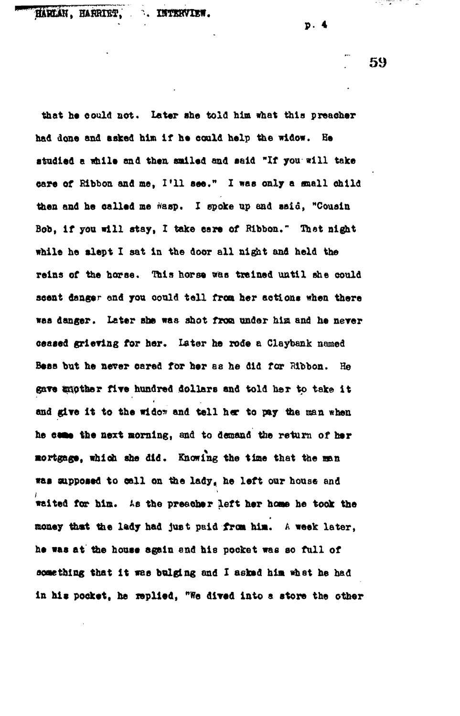*mrnrn^* ; . *vxmermi.*

**P. 4**

**that he could not. Later she told him what this preacher had done and asked him If he could help the widow. Be studied a while and then sailed and said "If you will take** care of Ribbon and me, I'll see." I was only a small child **then and he called me ftasp. I spoke up and said, "Cousin Bob, If you will stay, I take care of Ribbon." Thet night while he slept I sat in the door all night and held the reins of the horse. This horse ras trained until she could** scent danger end you could tell from her actions when there **was danger. Later she was shot froo under him and he nerer** ceased grieving for her. Later he rode a Cleybank named **Bess but he never oared for her as he did for Ribbon. He** gave must have hundred dollars and told her to take it and give it to the widow and tell her to pay the man when he come the next morning, and to demand the return of her **sortgagt, which she did. Knowing the time that the » n was supposed to cell on the lady, he left our house and** waited for him. As the preacher left her home he took the **money that the lady had just paid from hia. A week later, he was at the house again and his pocket wae so full of something that It was bulging and I asked him whet he had** in his pocket, he replied, "We dived into a store the other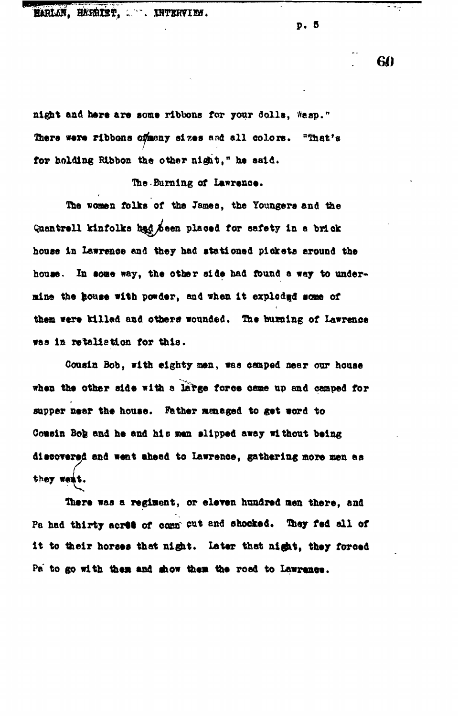HARLAN, HARRIET, ...-**· INTERVIES.** 

night and here are some ribbons for your dolls, #asp." There were ribbons ofmany sizes and all colors. "That's **for holding Ribbon the other night," he said.**

**The Burning of Lawrence.**

**The women folks of the James, the Youngere and the** Quantrell kinfolks had been placed for safety in a brick **house In Lawrence and they had stationed pickets around the houae. In eoae way, the other side had found a way to undermine the koute with powder, and when It exploded sane of** them were killed and others wounded. The burning of Lawrence **was in retaliation for this.**

**Cousin Bob, with eighty-men, was camped near our house when the other side witto a large foree eane up and camped for supper near the house. Father nenaged to get word to** Cousin Bog and he and his men slipped away without being **discovered and went ahead to Lawrence, gathering more sen as** they went.

**There was a reglaent, or eleven hundred sen there, and** Pa had thirty acres of comm cut and shocked. They fed all of **It to their horses that night. Later that night, they forced** Pa' to go with them and show them the road to Lawrence.

**61)**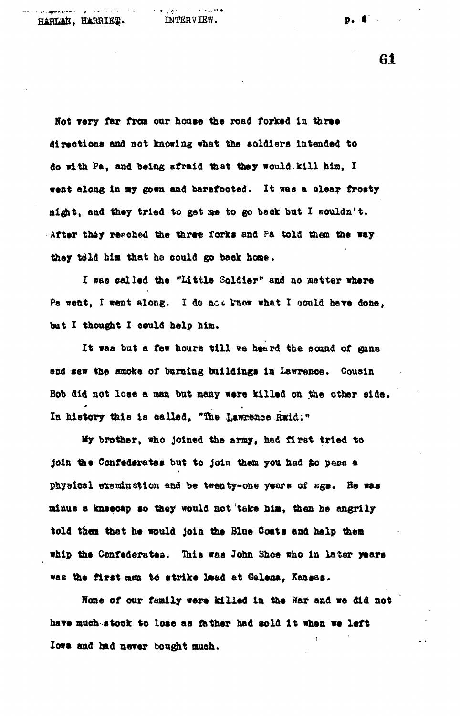a well as a

**61**

**Not rery far from our house the road forked in three dlreotlons and not knowing what the soldiers intended to do vita Pa, and being afraid Inat they would.kill hia, I** went along in my gown and barefooted. It was a clear frosty night, and they tried to get me to go back but I wouldn't. After they reached the three forks and Pa told them the way they tdld him that ha could go back home.

**I was called the "Little Soldier" and no matter where** Pa went, I went along. I do not know what I could have done, **but I thought I oould help him.**

It was but a few hours till we heard the sound of guns **and sew the smoke of burning buildings in Lawrence. Cousin Bob did not lose a man but many were killed on the other side.** In history this is called, "The Lawrence Raid."

**My brother, who Joined the army, had first tried to** join the Confederates but to join them you had ho pass a **physical exasdnstlon and be twenty-one years of age. Be was ainua a kneecap so tfeey would not take hia, than he angrily told then that he would join the Blue Coats and help them whip the Confederates. This was John Shoe who In later years** was the first man to strike laad at Galena, Kansas.

Hone of our family were killed in the War and we did not have much stock to lose as father had sold it when we left Iowa and had never bought much.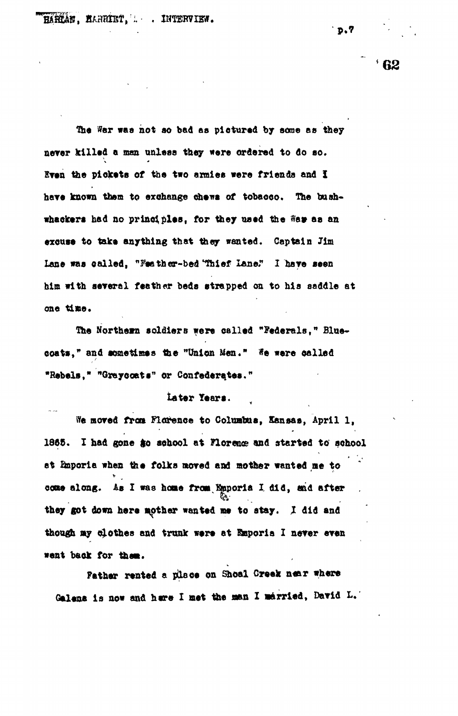**War waa not so bad aa pictured by some as they** never killed a man unless they were ordered to do so. **Iv»n t&e pickets of the two axmles were friends and I** have known them to exchange chews of tobacco. The bushwhackers had no principles, for they used the Way as an excuse to take anything that they wanted. Captain Jim Lane was called, "Feather-bed "Thief Iane." I have seen him with several feather beds strapped on to his saddle at **one tine.**

**The Northern soldiers were called "Federals," Blae~ coats," and some times the "Union Men." We ware called •Rebels," "Grayooats" or Confederates."**

## **later Years.**

**We moved from Florence to Coluabtia, Kansas, April** *1,* 1865. I had gone so school at Florence and started to school at Emporia when the folks moved and mother wanted me to come along. As I was home from Emporia I did, and after they got down here mother wanted me to stay. I did and though my clothes and trunk were at Exporia I never even **want back for them.**

Father rented a place on Shoal Creek near where Galena is now and here I met the man I married, David L.

 $p, 7$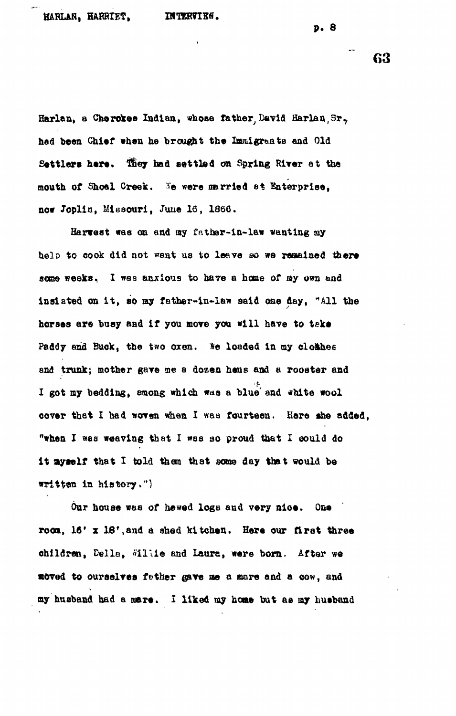INTERVIEW.

**p. 8**

Harlan, a Cherokee Indian, whose father, David Harlan, Sr., **had been Chief when he brought the Immigrants and Old** Settlers here. They had settled on Spring River at the mouth of Shoal Greek. Ne were married at Enterprise, **now Joplin, Missouri, June 16, 1366.**

**Harvest was on end ay father-in-law wanting my helo to cook did not want us to leave so we reaalned there some weeks, I was anxious to have a home of ay own und Insisted on it, so ay father-in-lan said one day, ''All the horses are busy and If you more you will have to teke** Paddy and Buck, the two oxen. We loaded in my clothes **end trunk; mother gave me a dozen hens and a rooster and** I got my bedding, among which was a blue and white wool cover that I had woven when I was fourteen. Here she added, **"when I was weaving that I was 30 proud that I oould do** it myself that I told them that some day that would be **written in history.")**

Our house was of hewed logs and very nice. One room, 16' x 18', and a shed kitchen. Here our first three children, Della, Willie and Laura, were born. After we **moved to ourselves fether gave ae a more and a cow, and** my husband had a mare. I liked my home but as my husband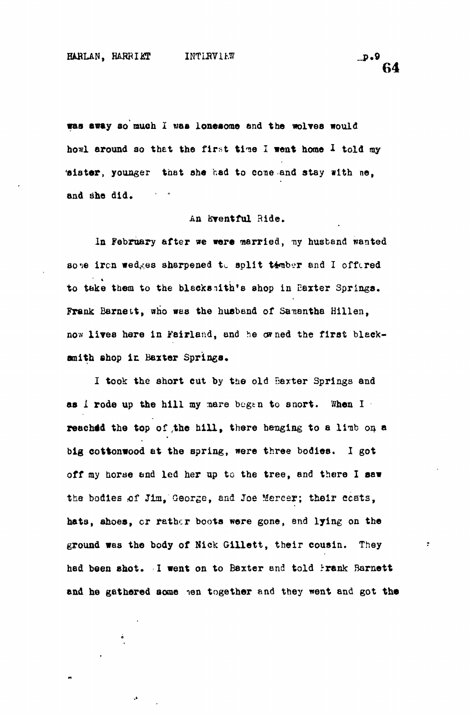**was ewmy so much I was lonesome and the wolves would** howl around so that the first time I went home I told my **'sister, younger that she had to cone and stay with ne, and she did.**

## **An isventful Ride.**

**In February after we were married, ny husband wanted soie iron wedges sharpened to split timber and I offered to take them to the blacksmith's shop in Baxter Springs. Frank Berne it, who was the husband of Sansntha Hillen, now lives here in Feirlend, ond he owned the first blecksmith shop in Baxter Springs.**

**I took the short cut by the old Barter Springs and as 1 rode up the hill my mere begtn to snort. When I reached the top of /the hill, there hanging to a limb on a big cottonwood at the spring, were three bodies. I got off my horae and led her up to the tree, and there I aaw** the bodies of Jim, George, and Joe Mercer; their ccats, hats, shoes, or rather boots were gone, and lying on the **ground was the body of Nick Gillett, their cousin. They** had been shot. I went on to Baxter and told Frank Barnett **and he gathered some nen together and they went and got the**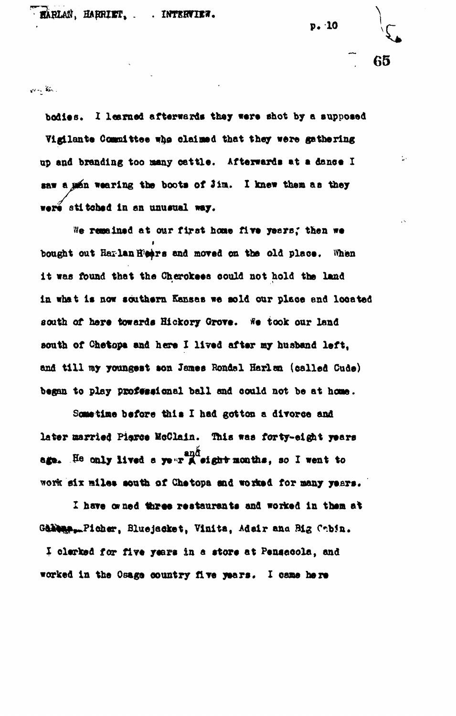**P\* 10 \r -**

**65**

ù.

yrs, En

**bodies.** I learned afterwards they were shot by a supposed **Vigilante Committee wh» claimed that they were gathering** up and branding too many cettle. Afterwards at a dance I saw a man wearing the boots of Jim. I knew them as they **were stitched in an unusual way.**

We remained at our first home five years; then we bought out Harlan H**oors** and moved on the old place. When **it was found that the Cherokeea oould not hold the land In what Is now southern Kansas we sold oar place end looated south of here towards Hickory Grore. #e took our land** south of Chetopa and here I lived after my husband left, and till my youngest son James Rondal Harlan (called Cude) **began to play professionel ball and could not be at home.**

**Some time before tills I had gotten a divorce and later married Pierce VeClaln.** *This* **was forty-eight years** age. He only lived a year A sight months, so I went to work six miles south of Chetopa and worked for many years.

**I hare OR ned three restaurants and worked in them at** Galens<sub>en</sub>Picher, Bluejacket, Vinita, Adair and Big Cabin.

**I clerked for five years in a store at Penseoola, and worked in the Osage country five years, I came here**